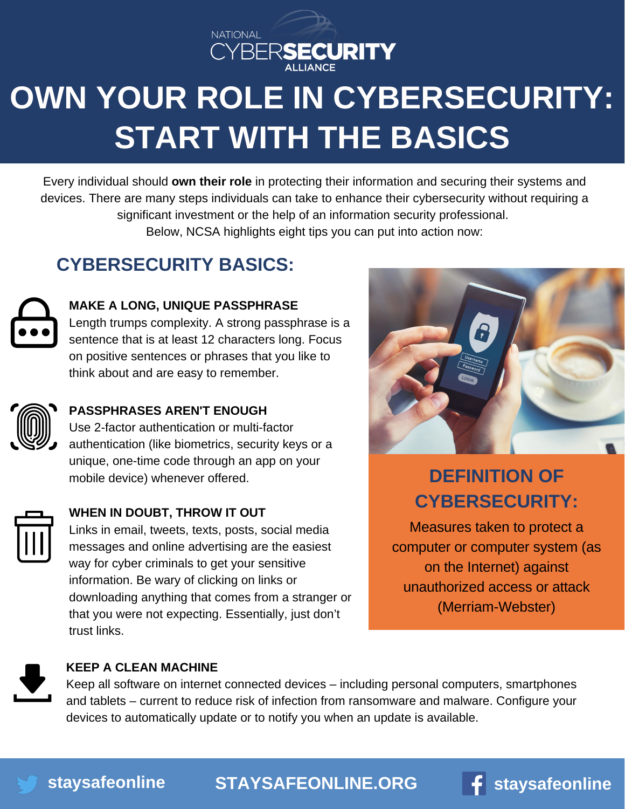

# **OWN YOUR ROLE IN CYBERSECURITY: START WITH THE BASICS**

Every individual should **own their role** in protecting their information and securing their systems and devices. There are many steps individuals can take to enhance their cybersecurity without requiring a significant investment or the help of an information security professional. Below, NCSA highlights eight tips you can put into action now:

### **CYBERSECURITY BASICS:**



### **MAKE A LONG, UNIQUE PASSPHRASE**

Length trumps complexity. A strong passphrase is a sentence that is at least 12 characters long. Focus on positive sentences or phrases that you like to think about and are easy to remember.



### **PASSPHRASES AREN'T ENOUGH**

Use 2-factor authentication or multi-factor authentication (like biometrics, security keys or a unique, one-time code through an app on your mobile device) whenever offered.



### **WHEN IN DOUBT, THROW IT OUT**

Links in email, tweets, texts, posts, social media messages and online advertising are the easiest way for cyber criminals to get your sensitive information. Be wary of clicking on links or downloading anything that comes from a stranger or that you were not expecting. Essentially, just don't trust links.



## **DEFINITION OF CYBERSECURITY:**

Measures taken to protect a computer or computer system (as on the Internet) against unauthorized access or attack [\(Merriam-Webster\)](https://www.irs.gov/newsroom/dirty-dozen)



#### **KEEP A CLEAN MACHINE**

Keep all software on internet connected devices – including personal computers, smartphones and tablets – current to reduce risk of infection from ransomware and malware. Configure your devices to automatically update or to notify you when an update is available.

**[staysafeonline](http://twitter.com/staysafeonline) [STAYSAFEONLINE.ORG](http://staysafeonline.org/) [staysafeonline](http://facebook.com/staysafeonline)**